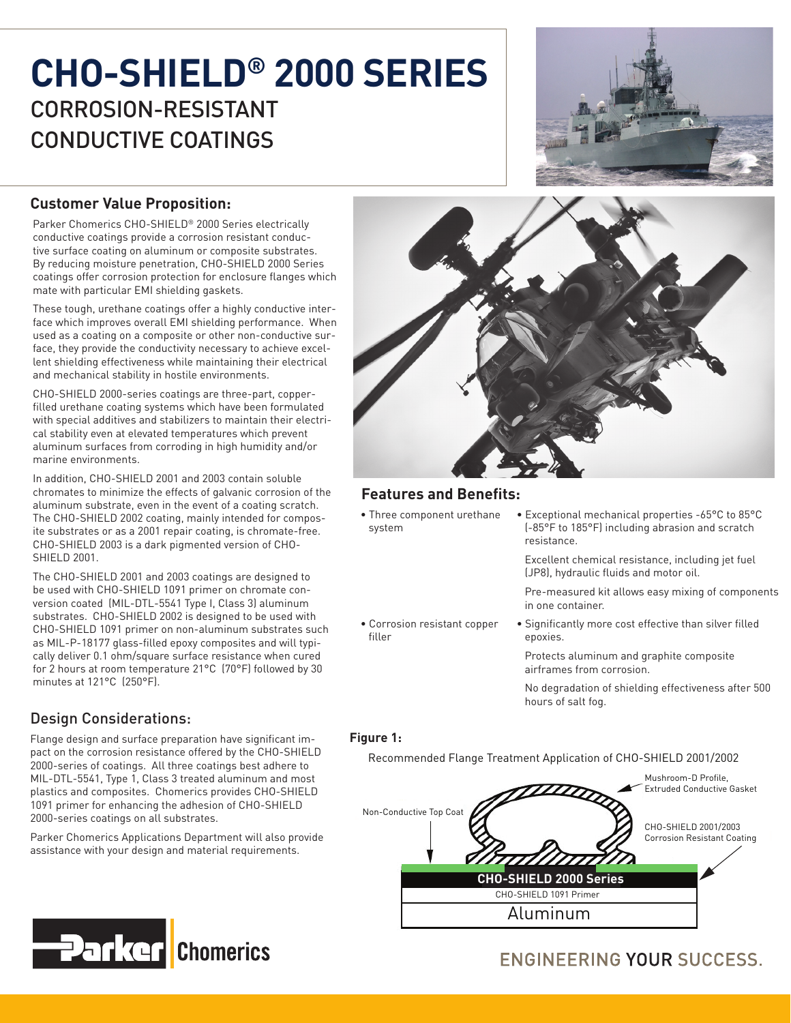# **CHO-SHIELD® 2000 SERIES** CORROSION-RESISTANT CONDUCTIVE COATINGS



## **Customer Value Proposition:**

Parker Chomerics CHO-SHIELD® 2000 Series electrically conductive coatings provide a corrosion resistant conductive surface coating on aluminum or composite substrates. By reducing moisture penetration, CHO-SHIELD 2000 Series coatings offer corrosion protection for enclosure flanges which mate with particular EMI shielding gaskets.

These tough, urethane coatings offer a highly conductive interface which improves overall EMI shielding performance. When used as a coating on a composite or other non-conductive surface, they provide the conductivity necessary to achieve excellent shielding effectiveness while maintaining their electrical and mechanical stability in hostile environments.

CHO-SHIELD 2000-series coatings are three-part, copperfilled urethane coating systems which have been formulated with special additives and stabilizers to maintain their electrical stability even at elevated temperatures which prevent aluminum surfaces from corroding in high humidity and/or marine environments.

In addition, CHO-SHIELD 2001 and 2003 contain soluble chromates to minimize the effects of galvanic corrosion of the aluminum substrate, even in the event of a coating scratch. The CHO-SHIELD 2002 coating, mainly intended for composite substrates or as a 2001 repair coating, is chromate-free. CHO-SHIELD 2003 is a dark pigmented version of CHO-SHIELD 2001.

The CHO-SHIELD 2001 and 2003 coatings are designed to be used with CHO-SHIELD 1091 primer on chromate conversion coated (MIL-DTL-5541 Type I, Class 3) aluminum substrates. CHO-SHIELD 2002 is designed to be used with CHO-SHIELD 1091 primer on non-aluminum substrates such as MIL-P-18177 glass-filled epoxy composites and will typically deliver 0.1 ohm/square surface resistance when cured for 2 hours at room temperature 21°C (70°F) followed by 30 minutes at 121°C (250°F).

# Design Considerations:

Flange design and surface preparation have significant impact on the corrosion resistance offered by the CHO-SHIELD 2000-series of coatings. All three coatings best adhere to MIL-DTL-5541, Type 1, Class 3 treated aluminum and most plastics and composites. Chomerics provides CHO-SHIELD 1091 primer for enhancing the adhesion of CHO-SHIELD 2000-series coatings on all substrates.

Parker Chomerics Applications Department will also provide assistance with your design and material requirements.



## **Features and Benefits:**

• Three component urethane system

• Corrosion resistant copper

• Exceptional mechanical properties -65°C to 85°C (-85°F to 185°F) including abrasion and scratch resistance.

 Excellent chemical resistance, including jet fuel (JP8), hydraulic fluids and motor oil.

 Pre-measured kit allows easy mixing of components in one container.

• Significantly more cost effective than silver filled epoxies.

 Protects aluminum and graphite composite airframes from corrosion.

 No degradation of shielding effectiveness after 500 hours of salt fog.

#### **Figure 1:**

filler

Recommended Flange Treatment Application of CHO-SHIELD 2001/2002



# **ENGINEERING YOUR SUCCESS.**

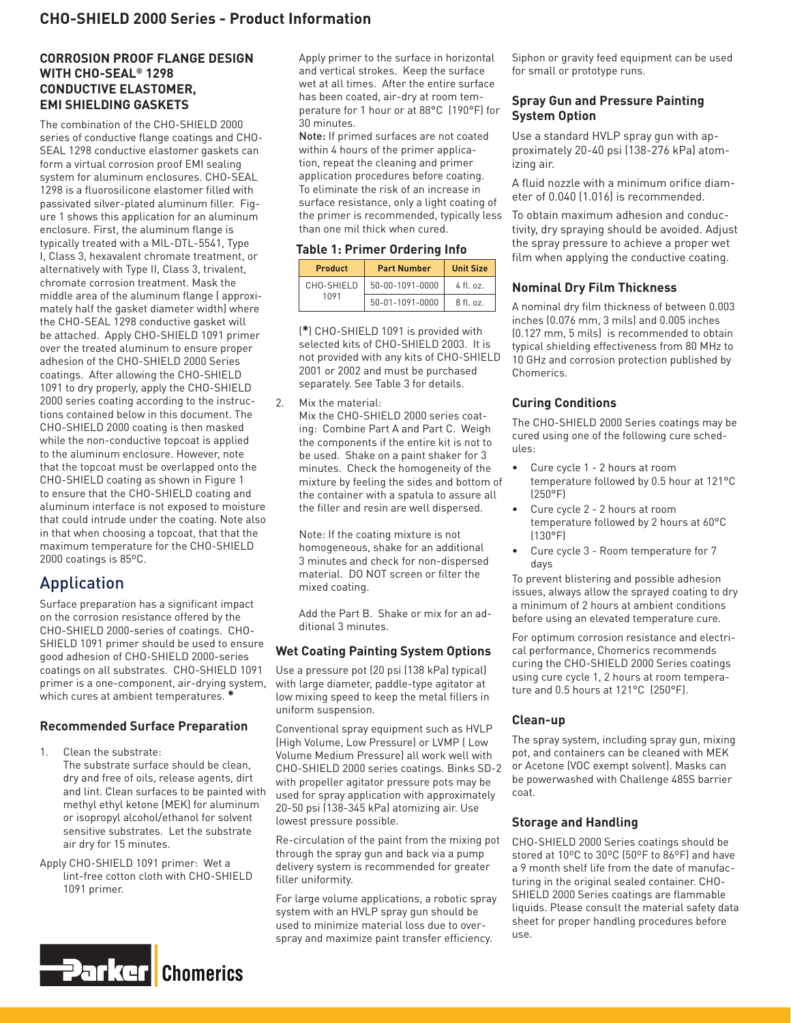#### **CORROSION PROOF FLANGE DESIGN WITH CHO-SEAL® 1298 CONDUCTIVE ELASTOMER, EMI SHIELDING GASKETS**

The combination of the CHO-SHIELD 2000 series of conductive flange coatings and CHO-SEAL 1298 conductive elastomer gaskets can form a virtual corrosion proof EMI sealing system for aluminum enclosures. CHO-SEAL 1298 is a fluorosilicone elastomer filled with passivated silver-plated aluminum filler. Figure 1 shows this application for an aluminum enclosure. First, the aluminum flange is typically treated with a MIL-DTL-5541, Type I, Class 3, hexavalent chromate treatment, or alternatively with Type II, Class 3, trivalent, chromate corrosion treatment. Mask the middle area of the aluminum flange ( approximately half the gasket diameter width) where the CHO-SEAL 1298 conductive gasket will be attached. Apply CHO-SHIELD 1091 primer over the treated aluminum to ensure proper adhesion of the CHO-SHIELD 2000 Series coatings. After allowing the CHO-SHIELD 1091 to dry properly, apply the CHO-SHIELD 2000 series coating according to the instructions contained below in this document. The CHO-SHIELD 2000 coating is then masked while the non-conductive topcoat is applied to the aluminum enclosure. However, note that the topcoat must be overlapped onto the CHO-SHIELD coating as shown in Figure 1 to ensure that the CHO-SHIELD coating and aluminum interface is not exposed to moisture that could intrude under the coating. Note also in that when choosing a topcoat, that that the maximum temperature for the CHO-SHIELD 2000 coatings is 85ºC.

# Application

Surface preparation has a significant impact on the corrosion resistance offered by the CHO-SHIELD 2000-series of coatings. CHO-SHIELD 1091 primer should be used to ensure good adhesion of CHO-SHIELD 2000-series coatings on all substrates. CHO-SHIELD 1091 primer is a one-component, air-drying system, which cures at ambient temperatures. **\***

#### **Recommended Surface Preparation**

- 1. Clean the substrate: The substrate surface should be clean, dry and free of oils, release agents, dirt and lint. Clean surfaces to be painted with methyl ethyl ketone (MEK) for aluminum or isopropyl alcohol/ethanol for solvent sensitive substrates. Let the substrate
- Apply CHO-SHIELD 1091 primer: Wet a lint-free cotton cloth with CHO-SHIELD 1091 primer.

air dry for 15 minutes.



Apply primer to the surface in horizontal and vertical strokes. Keep the surface wet at all times. After the entire surface has been coated, air-dry at room temperature for 1 hour or at 88°C (190°F) for 30 minutes.

Note: If primed surfaces are not coated within 4 hours of the primer application, repeat the cleaning and primer application procedures before coating. To eliminate the risk of an increase in surface resistance, only a light coating of the primer is recommended, typically less than one mil thick when cured.

#### **Table 1: Primer Ordering Info**

| <b>Product</b>     | <b>Part Number</b> | <b>Unit Size</b> |
|--------------------|--------------------|------------------|
| CHO-SHIELD<br>1091 | 50-00-1091-0000    | $4$ fl. oz.      |
|                    | 50-01-1091-0000    | $8$ fl. oz.      |

(**\***) CHO-SHIELD 1091 is provided with selected kits of CHO-SHIELD 2003. It is not provided with any kits of CHO-SHIELD 2001 or 2002 and must be purchased separately. See Table 3 for details.

2. Mix the material:

Mix the CHO-SHIELD 2000 series coating: Combine Part A and Part C. Weigh the components if the entire kit is not to be used. Shake on a paint shaker for 3 minutes. Check the homogeneity of the mixture by feeling the sides and bottom of the container with a spatula to assure all the filler and resin are well dispersed.

Note: If the coating mixture is not homogeneous, shake for an additional 3 minutes and check for non-dispersed material. DO NOT screen or filter the mixed coating.

Add the Part B. Shake or mix for an additional 3 minutes.

#### **Wet Coating Painting System Options**

Use a pressure pot (20 psi (138 kPa) typical) with large diameter, paddle-type agitator at low mixing speed to keep the metal fillers in uniform suspension.

Conventional spray equipment such as HVLP (High Volume, Low Pressure) or LVMP ( Low Volume Medium Pressure) all work well with CHO-SHIELD 2000 series coatings. Binks SD-2 with propeller agitator pressure pots may be used for spray application with approximately 20-50 psi (138-345 kPa) atomizing air. Use lowest pressure possible.

Re-circulation of the paint from the mixing pot through the spray gun and back via a pump delivery system is recommended for greater filler uniformity.

For large volume applications, a robotic spray system with an HVLP spray gun should be used to minimize material loss due to overspray and maximize paint transfer efficiency.

Siphon or gravity feed equipment can be used for small or prototype runs.

#### **Spray Gun and Pressure Painting System Option**

Use a standard HVLP spray gun with approximately 20-40 psi (138-276 kPa) atomizing air.

A fluid nozzle with a minimum orifice diameter of 0.040 (1.016) is recommended.

To obtain maximum adhesion and conductivity, dry spraying should be avoided. Adjust the spray pressure to achieve a proper wet film when applying the conductive coating.

#### **Nominal Dry Film Thickness**

A nominal dry film thickness of between 0.003 inches (0.076 mm, 3 mils) and 0.005 inches (0.127 mm, 5 mils) is recommended to obtain typical shielding effectiveness from 80 MHz to 10 GHz and corrosion protection published by Chomerics.

#### **Curing Conditions**

The CHO-SHIELD 2000 Series coatings may be cured using one of the following cure schedules:

- Cure cycle 1 2 hours at room temperature followed by 0.5 hour at 121°C (250°F)
- Cure cycle 2 2 hours at room temperature followed by 2 hours at 60°C (130°F)
- Cure cycle 3 Room temperature for 7 days

To prevent blistering and possible adhesion issues, always allow the sprayed coating to dry a minimum of 2 hours at ambient conditions before using an elevated temperature cure.

For optimum corrosion resistance and electrical performance, Chomerics recommends curing the CHO-SHIELD 2000 Series coatings using cure cycle 1, 2 hours at room temperature and 0.5 hours at 121°C (250°F).

#### **Clean-up**

The spray system, including spray gun, mixing pot, and containers can be cleaned with MEK or Acetone (VOC exempt solvent). Masks can be powerwashed with Challenge 485S barrier coat.

#### **Storage and Handling**

CHO-SHIELD 2000 Series coatings should be stored at 10ºC to 30ºC (50ºF to 86ºF) and have a 9 month shelf life from the date of manufacturing in the original sealed container. CHO-SHIELD 2000 Series coatings are flammable liquids. Please consult the material safety data sheet for proper handling procedures before use.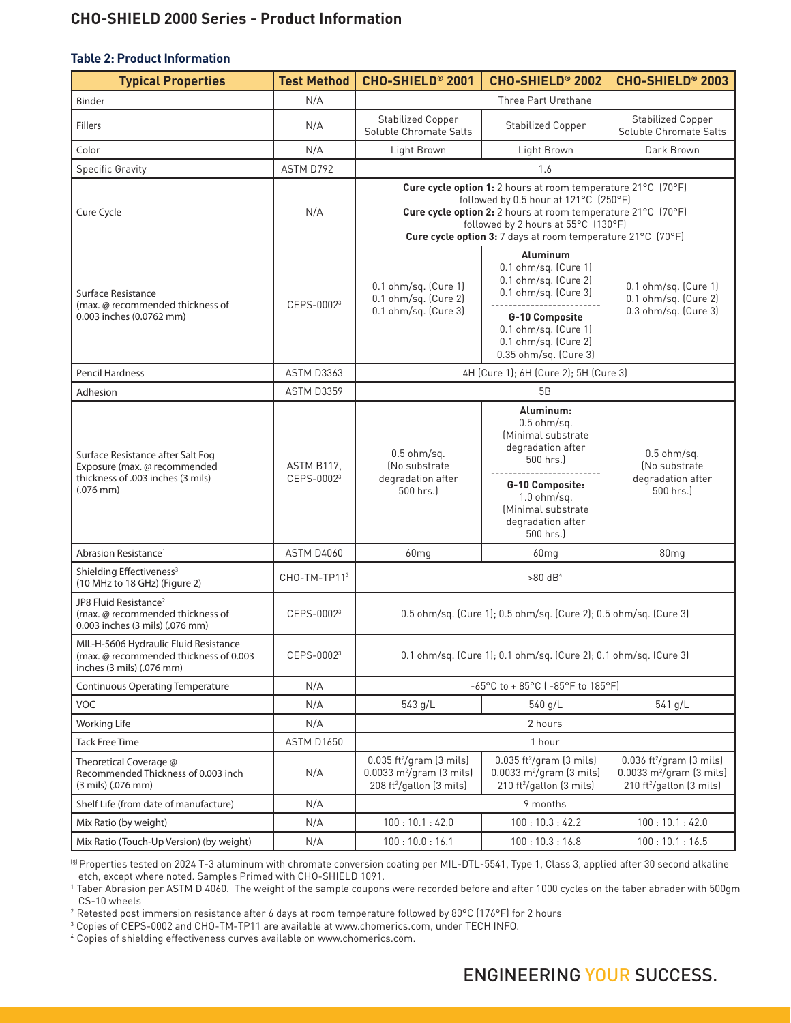## **CHO-SHIELD 2000 Series - Product Information**

#### **Table 2: Product Information**

| <b>Typical Properties</b>                                                                                                | <b>Test Method</b>                   | CHO-SHIELD <sup>®</sup> 2001                                                                                                                                                                                                                                                | CHO-SHIELD <sup>®</sup> 2002                                                                                                                                                | CHO-SHIELD <sup>®</sup> 2003                                                                                                           |
|--------------------------------------------------------------------------------------------------------------------------|--------------------------------------|-----------------------------------------------------------------------------------------------------------------------------------------------------------------------------------------------------------------------------------------------------------------------------|-----------------------------------------------------------------------------------------------------------------------------------------------------------------------------|----------------------------------------------------------------------------------------------------------------------------------------|
| Binder                                                                                                                   | N/A                                  | Three Part Urethane                                                                                                                                                                                                                                                         |                                                                                                                                                                             |                                                                                                                                        |
| <b>Fillers</b>                                                                                                           | N/A                                  | <b>Stabilized Copper</b><br>Soluble Chromate Salts                                                                                                                                                                                                                          | <b>Stabilized Copper</b>                                                                                                                                                    | <b>Stabilized Copper</b><br>Soluble Chromate Salts                                                                                     |
| Color                                                                                                                    | N/A                                  | Light Brown                                                                                                                                                                                                                                                                 | Light Brown                                                                                                                                                                 | Dark Brown                                                                                                                             |
| <b>Specific Gravity</b>                                                                                                  | ASTM D792                            |                                                                                                                                                                                                                                                                             | 1.6                                                                                                                                                                         |                                                                                                                                        |
| Cure Cycle                                                                                                               | N/A                                  | Cure cycle option 1: 2 hours at room temperature 21°C (70°F)<br>followed by 0.5 hour at 121°C (250°F)<br>Cure cycle option 2: 2 hours at room temperature 21°C (70°F)<br>followed by 2 hours at 55°C (130°F)<br>Cure cycle option 3: 7 days at room temperature 21°C (70°F) |                                                                                                                                                                             |                                                                                                                                        |
| Surface Resistance<br>(max. @ recommended thickness of<br>0.003 inches (0.0762 mm)                                       | CEPS-00023                           | 0.1 ohm/sq. (Cure 1)<br>0.1 ohm/sq. (Cure 2)<br>0.1 ohm/sq. (Cure 3)                                                                                                                                                                                                        | Aluminum<br>0.1 ohm/sq. (Cure 1)<br>0.1 ohm/sq. (Cure 2)<br>0.1 ohm/sq. (Cure 3)<br>G-10 Composite<br>0.1 ohm/sq. (Cure 1)<br>0.1 ohm/sq. (Cure 2)<br>0.35 ohm/sq. (Cure 3) | 0.1 ohm/sq. (Cure 1)<br>0.1 ohm/sq. (Cure 2)<br>0.3 ohm/sq. (Cure 3)                                                                   |
| Pencil Hardness                                                                                                          | <b>ASTM D3363</b>                    | 4H (Cure 1); 6H (Cure 2); 5H (Cure 3)                                                                                                                                                                                                                                       |                                                                                                                                                                             |                                                                                                                                        |
| Adhesion                                                                                                                 | ASTM D3359                           | 5B                                                                                                                                                                                                                                                                          |                                                                                                                                                                             |                                                                                                                                        |
| Surface Resistance after Salt Fog<br>Exposure (max. @ recommended<br>thickness of .003 inches (3 mils)<br>$(.076$ mm $)$ | ASTM B117.<br>CEPS-0002 <sup>3</sup> | $0.5$ ohm/sq.<br>(No substrate)<br>degradation after<br>500 hrs.)                                                                                                                                                                                                           | Aluminum:<br>$0.5$ ohm/sq.<br>Minimal substrate<br>degradation after<br>500 hrs.)<br>G-10 Composite:<br>$1.0$ ohm/sq.<br>(Minimal substrate<br>degradation after            | $0.5$ ohm/sq.<br>(No substrate)<br>degradation after<br>500 hrs.)                                                                      |
| Abrasion Resistance <sup>1</sup>                                                                                         | <b>ASTM D4060</b>                    | 60 <sub>mg</sub>                                                                                                                                                                                                                                                            | 500 hrs.)<br>60 <sub>mg</sub>                                                                                                                                               | 80 <sub>mg</sub>                                                                                                                       |
| Shielding Effectiveness <sup>3</sup><br>(10 MHz to 18 GHz) (Figure 2)                                                    | CHO-TM-TP113                         | $>80$ dB <sup>4</sup>                                                                                                                                                                                                                                                       |                                                                                                                                                                             |                                                                                                                                        |
| JP8 Fluid Resistance <sup>2</sup><br>(max. @ recommended thickness of<br>0.003 inches (3 mils) (.076 mm)                 | CEPS-00023                           | 0.5 ohm/sq. (Cure 1); 0.5 ohm/sq. (Cure 2); 0.5 ohm/sq. (Cure 3)                                                                                                                                                                                                            |                                                                                                                                                                             |                                                                                                                                        |
| MIL-H-5606 Hydraulic Fluid Resistance<br>(max. @ recommended thickness of 0.003<br>inches (3 mils) (.076 mm)             | CEPS-00023                           | 0.1 ohm/sq. (Cure 1); 0.1 ohm/sq. (Cure 2); 0.1 ohm/sq. (Cure 3)                                                                                                                                                                                                            |                                                                                                                                                                             |                                                                                                                                        |
| <b>Continuous Operating Temperature</b>                                                                                  | N/A                                  | -65°C to + 85°C (-85°F to 185°F)                                                                                                                                                                                                                                            |                                                                                                                                                                             |                                                                                                                                        |
| <b>VOC</b>                                                                                                               | N/A                                  | 543 g/L                                                                                                                                                                                                                                                                     | 540 g/L                                                                                                                                                                     | 541 g/L                                                                                                                                |
| <b>Working Life</b>                                                                                                      | N/A                                  | 2 hours                                                                                                                                                                                                                                                                     |                                                                                                                                                                             |                                                                                                                                        |
| <b>Tack Free Time</b>                                                                                                    | <b>ASTM D1650</b>                    | 1 hour                                                                                                                                                                                                                                                                      |                                                                                                                                                                             |                                                                                                                                        |
| Theoretical Coverage @<br>Recommended Thickness of 0.003 inch<br>(3 mils) (.076 mm)                                      | N/A                                  | $0.035$ ft <sup>2</sup> /gram $(3 \text{ miles})$<br>$0.0033 \text{ m}^2/\text{gram}$ (3 mils)<br>208 ft <sup>2</sup> /gallon (3 mils)                                                                                                                                      | $0.035$ ft <sup>2</sup> /gram $(3 \text{ miles})$<br>$0.0033 \text{ m}^2/\text{gram}$ (3 mils)<br>210 ft <sup>2</sup> /gallon (3 mils)                                      | $0.036$ ft <sup>2</sup> /gram $(3 \text{ miles})$<br>$0.0033 \text{ m}^2/\text{gram}$ (3 mils)<br>210 ft <sup>2</sup> /gallon (3 mils) |
| Shelf Life (from date of manufacture)                                                                                    | N/A                                  | 9 months                                                                                                                                                                                                                                                                    |                                                                                                                                                                             |                                                                                                                                        |
| Mix Ratio (by weight)                                                                                                    | N/A                                  | 100:10.1:42.0                                                                                                                                                                                                                                                               | 100:10.3:42.2                                                                                                                                                               | 100:10.1:42.0                                                                                                                          |
| Mix Ratio (Touch-Up Version) (by weight)                                                                                 | N/A                                  | 100:10.0:16.1                                                                                                                                                                                                                                                               | 100:10.3:16.8                                                                                                                                                               | 100:10.1:16.5                                                                                                                          |

(§) Properties tested on 2024 T-3 aluminum with chromate conversion coating per MIL-DTL-5541, Type 1, Class 3, applied after 30 second alkaline etch, except where noted. Samples Primed with CHO-SHIELD 1091.

<sup>1</sup> Taber Abrasion per ASTM D 4060. The weight of the sample coupons were recorded before and after 1000 cycles on the taber abrader with 500gm CS-10 wheels

2 Retested post immersion resistance after 6 days at room temperature followed by 80°C (176°F) for 2 hours

3 Copies of CEPS-0002 and CHO-TM-TP11 are available at www.chomerics.com, under TECH INFO.

4 Copies of shielding effectiveness curves available on www.chomerics.com.

# ENGINEERING YOUR SUCCESS.